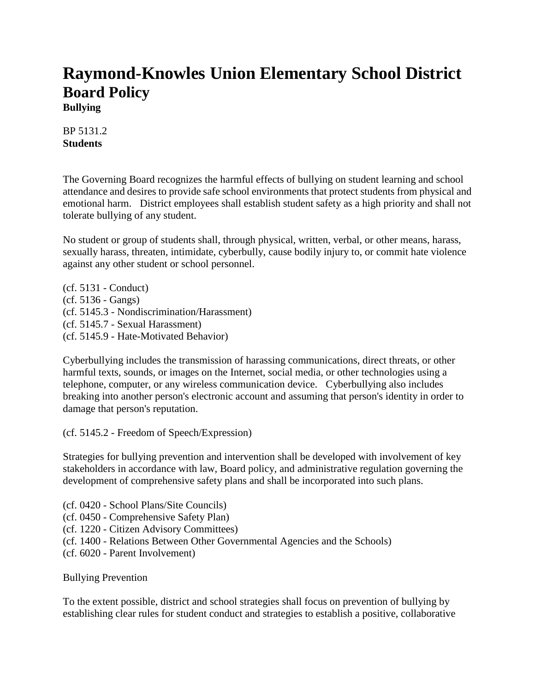# **Raymond-Knowles Union Elementary School District Board Policy Bullying**

BP 5131.2 **Students**

The Governing Board recognizes the harmful effects of bullying on student learning and school attendance and desires to provide safe school environments that protect students from physical and emotional harm. District employees shall establish student safety as a high priority and shall not tolerate bullying of any student.

No student or group of students shall, through physical, written, verbal, or other means, harass, sexually harass, threaten, intimidate, cyberbully, cause bodily injury to, or commit hate violence against any other student or school personnel.

(cf. 5131 - Conduct) (cf. 5136 - Gangs) (cf. 5145.3 - Nondiscrimination/Harassment) (cf. 5145.7 - Sexual Harassment) (cf. 5145.9 - Hate-Motivated Behavior)

Cyberbullying includes the transmission of harassing communications, direct threats, or other harmful texts, sounds, or images on the Internet, social media, or other technologies using a telephone, computer, or any wireless communication device. Cyberbullying also includes breaking into another person's electronic account and assuming that person's identity in order to damage that person's reputation.

(cf. 5145.2 - Freedom of Speech/Expression)

Strategies for bullying prevention and intervention shall be developed with involvement of key stakeholders in accordance with law, Board policy, and administrative regulation governing the development of comprehensive safety plans and shall be incorporated into such plans.

- (cf. 0420 School Plans/Site Councils)
- (cf. 0450 Comprehensive Safety Plan)
- (cf. 1220 Citizen Advisory Committees)
- (cf. 1400 Relations Between Other Governmental Agencies and the Schools)
- (cf. 6020 Parent Involvement)

Bullying Prevention

To the extent possible, district and school strategies shall focus on prevention of bullying by establishing clear rules for student conduct and strategies to establish a positive, collaborative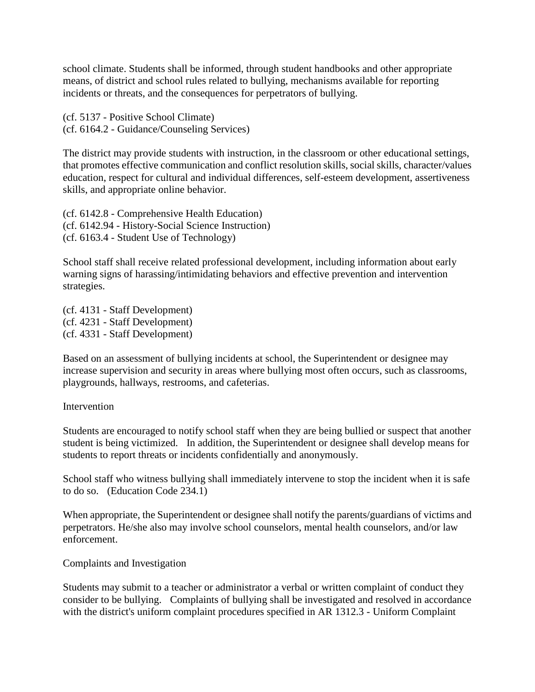school climate. Students shall be informed, through student handbooks and other appropriate means, of district and school rules related to bullying, mechanisms available for reporting incidents or threats, and the consequences for perpetrators of bullying.

(cf. 5137 - Positive School Climate) (cf. 6164.2 - Guidance/Counseling Services)

The district may provide students with instruction, in the classroom or other educational settings, that promotes effective communication and conflict resolution skills, social skills, character/values education, respect for cultural and individual differences, self-esteem development, assertiveness skills, and appropriate online behavior.

(cf. 6142.8 - Comprehensive Health Education) (cf. 6142.94 - History-Social Science Instruction) (cf. 6163.4 - Student Use of Technology)

School staff shall receive related professional development, including information about early warning signs of harassing/intimidating behaviors and effective prevention and intervention strategies.

(cf. 4131 - Staff Development) (cf. 4231 - Staff Development) (cf. 4331 - Staff Development)

Based on an assessment of bullying incidents at school, the Superintendent or designee may increase supervision and security in areas where bullying most often occurs, such as classrooms, playgrounds, hallways, restrooms, and cafeterias.

### Intervention

Students are encouraged to notify school staff when they are being bullied or suspect that another student is being victimized. In addition, the Superintendent or designee shall develop means for students to report threats or incidents confidentially and anonymously.

School staff who witness bullying shall immediately intervene to stop the incident when it is safe to do so. (Education Code 234.1)

When appropriate, the Superintendent or designee shall notify the parents/guardians of victims and perpetrators. He/she also may involve school counselors, mental health counselors, and/or law enforcement.

Complaints and Investigation

Students may submit to a teacher or administrator a verbal or written complaint of conduct they consider to be bullying. Complaints of bullying shall be investigated and resolved in accordance with the district's uniform complaint procedures specified in AR 1312.3 - Uniform Complaint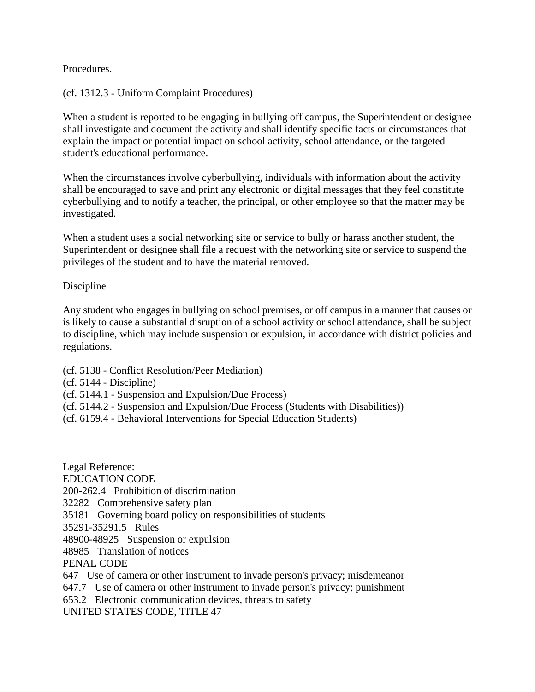## Procedures.

## (cf. 1312.3 - Uniform Complaint Procedures)

When a student is reported to be engaging in bullying off campus, the Superintendent or designee shall investigate and document the activity and shall identify specific facts or circumstances that explain the impact or potential impact on school activity, school attendance, or the targeted student's educational performance.

When the circumstances involve cyberbullying, individuals with information about the activity shall be encouraged to save and print any electronic or digital messages that they feel constitute cyberbullying and to notify a teacher, the principal, or other employee so that the matter may be investigated.

When a student uses a social networking site or service to bully or harass another student, the Superintendent or designee shall file a request with the networking site or service to suspend the privileges of the student and to have the material removed.

### Discipline

Any student who engages in bullying on school premises, or off campus in a manner that causes or is likely to cause a substantial disruption of a school activity or school attendance, shall be subject to discipline, which may include suspension or expulsion, in accordance with district policies and regulations.

- (cf. 5138 Conflict Resolution/Peer Mediation)
- (cf. 5144 Discipline)
- (cf. 5144.1 Suspension and Expulsion/Due Process)
- (cf. 5144.2 Suspension and Expulsion/Due Process (Students with Disabilities))
- (cf. 6159.4 Behavioral Interventions for Special Education Students)

Legal Reference: EDUCATION CODE 200-262.4 Prohibition of discrimination 32282 Comprehensive safety plan 35181 Governing board policy on responsibilities of students 35291-35291.5 Rules 48900-48925 Suspension or expulsion 48985 Translation of notices PENAL CODE 647 Use of camera or other instrument to invade person's privacy; misdemeanor 647.7 Use of camera or other instrument to invade person's privacy; punishment 653.2 Electronic communication devices, threats to safety

UNITED STATES CODE, TITLE 47